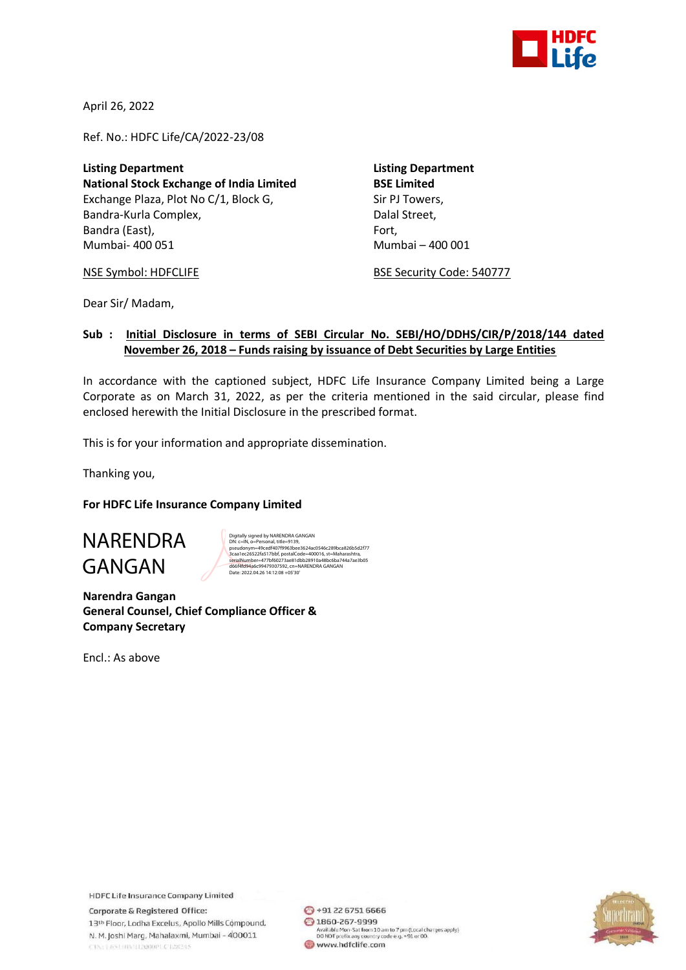

April 26, 2022

Ref. No.: HDFC Life/CA/2022-23/08

**Listing Department Listing Department National Stock Exchange of India Limited BSE Limited** Exchange Plaza, Plot No C/1, Block G, Sir PJ Towers, Bandra-Kurla Complex, and a complexed bandra-Kurla Complex, Bandra (East), Fort, Fort, Fort, Fort, Fort, Fort, Mumbai- 400 051 Mumbai – 400 001

NSE Symbol: HDFCLIFE BSE Security Code: 540777

Dear Sir/ Madam,

## **Sub : Initial Disclosure in terms of SEBI Circular No. SEBI/HO/DDHS/CIR/P/2018/144 dated November 26, 2018 – Funds raising by issuance of Debt Securities by Large Entities**

In accordance with the captioned subject, HDFC Life Insurance Company Limited being a Large Corporate as on March 31, 2022, as per the criteria mentioned in the said circular, please find enclosed herewith the Initial Disclosure in the prescribed format.

This is for your information and appropriate dissemination.

Thanking you,

**For HDFC Life Insurance Company Limited**

# NARENDRA GANGAN

Digitally signed by NARENDRA GANGAN<br>DN: c=IN, o=Personal, title=9139,<br>pseudonym=49cedf407f9963bee3624ac0546c289bca826b5d2f77 3caa1ec26522fa517bbf, postalCode=400016, st=Maharashtra,<br>serialNumber=477bf60273ae81dbb28910a48bc6ba744a7ae3b05<br>d66f4fd94a6c99479307592, cn=NARENDRA GANGAN<br>Date: 2022.04.26 14:12:08 +05'30'

**Narendra Gangan General Counsel, Chief Compliance Officer & Company Secretary**

Encl.: As above

**HDFC Life Insurance Company Limited** Corporate & Registered Office: 13<sup>th</sup> Floor, Lodha Excelus, Apollo Mills Compound, N. M. Joshi Marg, Mahalaxmi, Mumbai - 400011 CINE LEST HIM LEQUOPL C LESSES

◎ +91 22 6751 6666 2 1860-267-9999 Available Mon-Sat from 10 am to 7 pm (Local charges apply)<br>DO NOT prefix any country code e.g. +91 or 00. www.hdfclife.com